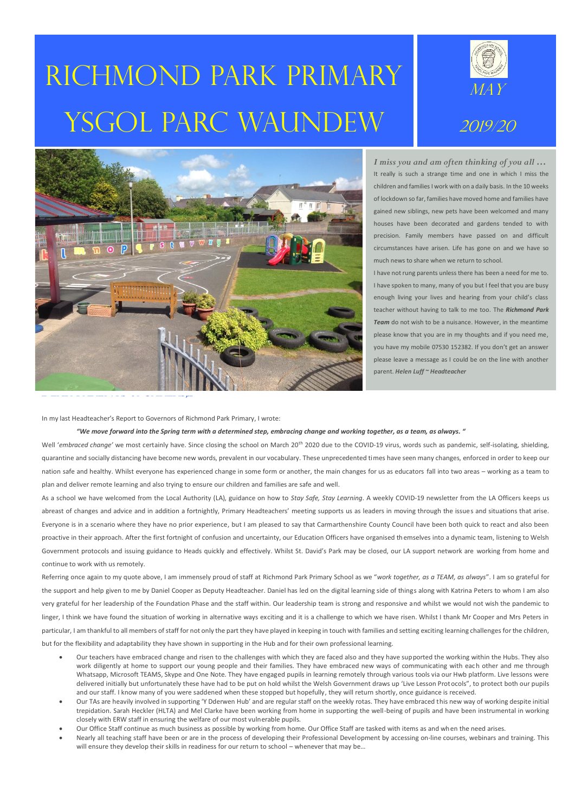# Richmond Park primary YSGOL PARC WAUNDEW





*I miss you and am often thinking of you all …* It really is such a strange time and one in which I miss the children and families I work with on a daily basis. In the 10 weeks of lockdown so far, families have moved home and families have gained new siblings, new pets have been welcomed and many houses have been decorated and gardens tended to with precision. Family members have passed on and difficult circumstances have arisen. Life has gone on and we have so much news to share when we return to school.

I have not rung parents unless there has been a need for me to. I have spoken to many, many of you but I feel that you are busy enough living your lives and hearing from your child's class teacher without having to talk to me too. The *Richmond Park Team* do not wish to be a nuisance. However, in the meantime please know that you are in my thoughts and if you need me, you have my mobile 07530 152382. If you don't get an answer please leave a message as I could be on the line with another parent. *Helen Luff ~ Headteacher*

In my last Headteacher's Report to Governors of Richmond Park Primary, I wrote:

*"We move forward into the Spring term with a determined step, embracing change and working together, as a team, as always. "*

Well 'embraced change' we most certainly have. Since closing the school on March 20<sup>th</sup> 2020 due to the COVID-19 virus, words such as pandemic, self-isolating, shielding, quarantine and socially distancing have become new words, prevalent in our vocabulary. These unprecedented times have seen many changes, enforced in order to keep our nation safe and healthy. Whilst everyone has experienced change in some form or another, the main changes for us as educators fall into two areas – working as a team to plan and deliver remote learning and also trying to ensure our children and families are safe and well.

As a school we have welcomed from the Local Authority (LA), guidance on how to *Stay Safe, Stay Learning*. A weekly COVID-19 newsletter from the LA Officers keeps us abreast of changes and advice and in addition a fortnightly, Primary Headteachers' meeting supports us as leaders in moving through the issues and situations that arise. Everyone is in a scenario where they have no prior experience, but I am pleased to say that Carmarthenshire County Council have been both quick to react and also been proactive in their approach. After the first fortnight of confusion and uncertainty, our Education Officers have organised themselves into a dynamic team, listening to Welsh Government protocols and issuing guidance to Heads quickly and effectively. Whilst St. David's Park may be closed, our LA support network are working from home and continue to work with us remotely.

Referring once again to my quote above, I am immensely proud of staff at Richmond Park Primary School as we "*work together, as a TEAM, as always*". I am so grateful for the support and help given to me by Daniel Cooper as Deputy Headteacher. Daniel has led on the digital learning side of things along with Katrina Peters to whom I am also very grateful for her leadership of the Foundation Phase and the staff within. Our leadership team is strong and responsive and whilst we would not wish the pandemic to linger, I think we have found the situation of working in alternative ways exciting and it is a challenge to which we have risen. Whilst I thank Mr Cooper and Mrs Peters in particular, I am thankful to all members of staff for not only the part they have played in keeping in touch with families and setting exciting learning challenges for the children, but for the flexibility and adaptability they have shown in supporting in the Hub and for their own professional learning.

- Our teachers have embraced change and risen to the challenges with which they are faced also and they have supported the working within the Hubs. They also work diligently at home to support our young people and their families. They have embraced new ways of communicating with each other and me through Whatsapp, Microsoft TEAMS, Skype and One Note. They have engaged pupils in learning remotely through various tools via our Hwb platform. Live lessons were delivered initially but unfortunately these have had to be put on hold whilst the Welsh Government draws up 'Live Lesson Protocols", to protect both our pupils and our staff. I know many of you were saddened when these stopped but hopefully, they will return shortly, once guidance is received.
- Our TAs are heavily involved in supporting 'Y Dderwen Hub' and are regular staff on the weekly rotas. They have embraced this new way of working despite initial trepidation. Sarah Heckler (HLTA) and Mel Clarke have been working from home in supporting the well-being of pupils and have been instrumental in working closely with ERW staff in ensuring the welfare of our most vulnerable pupils.
- Our Office Staff continue as much business as possible by working from home. Our Office Staff are tasked with items as and when the need arises.
- Nearly all teaching staff have been or are in the process of developing their Professional Development by accessing on-line courses, webinars and training. This will ensure they develop their skills in readiness for our return to school – whenever that may be…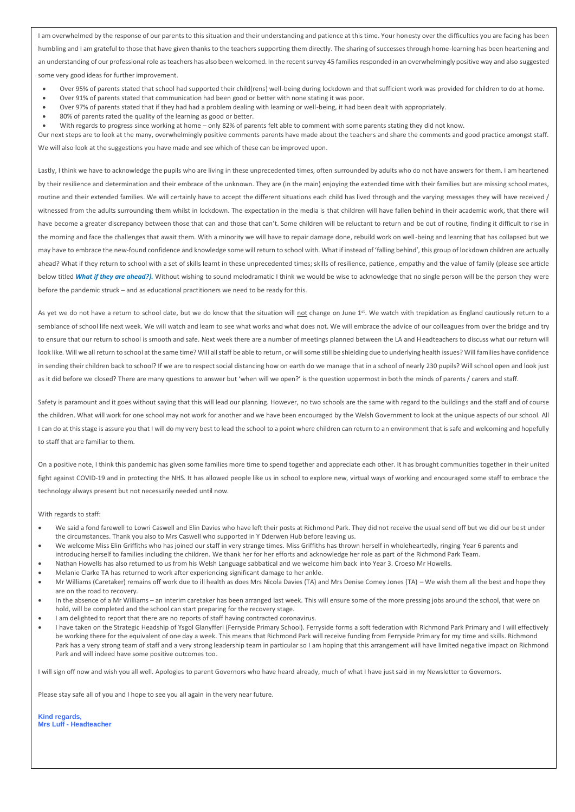I am overwhelmed by the response of our parents to this situation and their understanding and patience at this time. Your honesty over the difficulties you are facing has been humbling and I am grateful to those that have given thanks to the teachers supporting them directly. The sharing of successes through home-learning has been heartening and an understanding of our professional role as teachers has also been welcomed. In the recent survey 45 families responded in an overwhelmingly positive way and also suggested some very good ideas for further improvement.

- Over 95% of parents stated that school had supported their child(rens) well-being during lockdown and that sufficient work was provided for children to do at home.
- Over 91% of parents stated that communication had been good or better with none stating it was poor.
- Over 97% of parents stated that if they had had a problem dealing with learning or well-being, it had been dealt with appropriately.
- 80% of parents rated the quality of the learning as good or better.
- With regards to progress since working at home only 82% of parents felt able to comment with some parents stating they did not know.

Our next steps are to look at the many, overwhelmingly positive comments parents have made about the teachers and share the comments and good practice amongst staff.

We will also look at the suggestions you have made and see which of these can be improved upon.

Lastly, I think we have to acknowledge the pupils who are living in these unprecedented times, often surrounded by adults who do not have answers for them. I am heartened by their resilience and determination and their embrace of the unknown. They are (in the main) enjoying the extended time with their families but are missing school mates, routine and their extended families. We will certainly have to accept the different situations each child has lived through and the varying messages they will have received / witnessed from the adults surrounding them whilst in lockdown. The expectation in the media is that children will have fallen behind in their academic work, that there will have become a greater discrepancy between those that can and those that can't. Some children will be reluctant to return and be out of routine, finding it difficult to rise in the morning and face the challenges that await them. With a minority we will have to repair damage done, rebuild work on well-being and learning that has collapsed but we may have to embrace the new-found confidence and knowledge some will return to school with. What if instead of 'falling behind', this group of lockdown children are actually ahead? What if they return to school with a set of skills learnt in these unprecedented times; skills of resilience, patience, empathy and the value of family (please see article below titled *What if they are ahead?*). Without wishing to sound melodramatic I think we would be wise to acknowledge that no single person will be the person they were before the pandemic struck – and as educational practitioners we need to be ready for this.

As yet we do not have a return to school date, but we do know that the situation will not change on June 1<sup>st</sup>. We watch with trepidation as England cautiously return to a semblance of school life next week. We will watch and learn to see what works and what does not. We will embrace the advice of our colleagues from over the bridge and try to ensure that our return to school is smooth and safe. Next week there are a number of meetings planned between the LA and Headteachers to discuss what our return will look like. Will we all return to school at the same time? Will all staff be able to return, or will some still be shielding due to underlying health issues? Will families have confidence in sending their children back to school? If we are to respect social distancing how on earth do we manage that in a school of nearly 230 pupils? Will school open and look just as it did before we closed? There are many questions to answer but 'when will we open?' is the question uppermost in both the minds of parents / carers and staff.

Safety is paramount and it goes without saying that this will lead our planning. However, no two schools are the same with regard to the buildings and the staff and of course the children. What will work for one school may not work for another and we have been encouraged by the Welsh Government to look at the unique aspects of our school. All I can do at this stage is assure you that I will do my very best to lead the school to a point where children can return to an environment that is safe and welcoming and hopefully to staff that are familiar to them.

On a positive note, I think this pandemic has given some families more time to spend together and appreciate each other. It has brought communities together in their united fight against COVID-19 and in protecting the NHS. It has allowed people like us in school to explore new, virtual ways of working and encouraged some staff to embrace the technology always present but not necessarily needed until now.

#### With regards to staff:

- We said a fond farewell to Lowri Caswell and Elin Davies who have left their posts at Richmond Park. They did not receive the usual send off but we did our best under the circumstances. Thank you also to Mrs Caswell who supported in Y Dderwen Hub before leaving us.
- We welcome Miss Elin Griffiths who has joined our staff in very strange times. Miss Griffiths has thrown herself in wholeheartedly, ringing Year 6 parents and introducing herself to families including the children. We thank her for her efforts and acknowledge her role as part of the Richmond Park Team.
- Nathan Howells has also returned to us from his Welsh Language sabbatical and we welcome him back into Year 3. Croeso Mr Howells.
- Melanie Clarke TA has returned to work after experiencing significant damage to her ankle.
- Mr Williams (Caretaker) remains off work due to ill health as does Mrs Nicola Davies (TA) and Mrs Denise Comey Jones (TA) We wish them all the best and hope they are on the road to recovery.
- In the absence of a Mr Williams an interim caretaker has been arranged last week. This will ensure some of the more pressing jobs around the school, that were on hold, will be completed and the school can start preparing for the recovery stage.
- I am delighted to report that there are no reports of staff having contracted coronavirus.
- I have taken on the Strategic Headship of Ysgol Glanyfferi (Ferryside Primary School). Ferryside forms a soft federation with Richmond Park Primary and I will effectively be working there for the equivalent of one day a week. This means that Richmond Park will receive funding from Ferryside Primary for my time and skills. Richmond Park has a very strong team of staff and a very strong leadership team in particular so I am hoping that this arrangement will have limited negative impact on Richmond Park and will indeed have some positive outcomes too.

I will sign off now and wish you all well. Apologies to parent Governors who have heard already, much of what I have just said in my Newsletter to Governors.

Please stay safe all of you and I hope to see you all again in the very near future.

**Kind regards, Mrs Luff - Headteacher**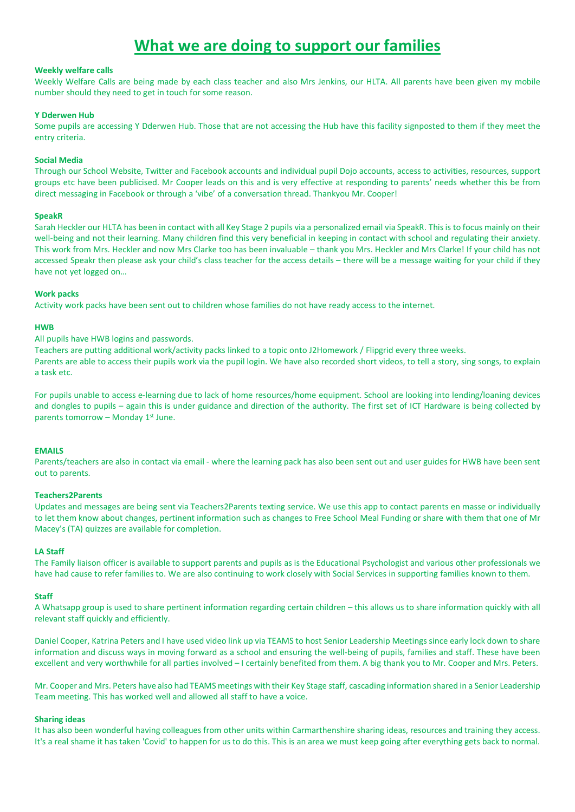# **What we are doing to support our families**

#### **Weekly welfare calls**

Weekly Welfare Calls are being made by each class teacher and also Mrs Jenkins, our HLTA. All parents have been given my mobile number should they need to get in touch for some reason.

#### **Y Dderwen Hub**

Some pupils are accessing Y Dderwen Hub. Those that are not accessing the Hub have this facility signposted to them if they meet the entry criteria.

#### **Social Media**

Through our School Website, Twitter and Facebook accounts and individual pupil Dojo accounts, access to activities, resources, support groups etc have been publicised. Mr Cooper leads on this and is very effective at responding to parents' needs whether this be from direct messaging in Facebook or through a 'vibe' of a conversation thread. Thankyou Mr. Cooper!

#### **SpeakR**

Sarah Heckler our HLTA has been in contact with all Key Stage 2 pupils via a personalized email via SpeakR. Thisis to focus mainly on their well-being and not their learning. Many children find this very beneficial in keeping in contact with school and regulating their anxiety. This work from Mrs. Heckler and now Mrs Clarke too has been invaluable – thank you Mrs. Heckler and Mrs Clarke! If your child has not accessed Speakr then please ask your child's class teacher for the access details – there will be a message waiting for your child if they have not yet logged on…

#### **Work packs**

Activity work packs have been sent out to children whose families do not have ready access to the internet.

#### **HWB**

All pupils have HWB logins and passwords.

Teachers are putting additional work/activity packs linked to a topic onto J2Homework / Flipgrid every three weeks.

Parents are able to access their pupils work via the pupil login. We have also recorded short videos, to tell a story, sing songs, to explain a task etc.

For pupils unable to access e-learning due to lack of home resources/home equipment. School are looking into lending/loaning devices and dongles to pupils – again this is under guidance and direction of the authority. The first set of ICT Hardware is being collected by parents tomorrow - Monday 1st June.

#### **EMAILS**

Parents/teachers are also in contact via email - where the learning pack has also been sent out and user guides for HWB have been sent out to parents.

#### **Teachers2Parents**

Updates and messages are being sent via Teachers2Parents texting service. We use this app to contact parents en masse or individually to let them know about changes, pertinent information such as changes to Free School Meal Funding or share with them that one of Mr Macey's (TA) quizzes are available for completion.

#### **LA Staff**

The Family liaison officer is available to support parents and pupils as is the Educational Psychologist and various other professionals we have had cause to refer families to. We are also continuing to work closely with Social Services in supporting families known to them.

#### **Staff**

A Whatsapp group is used to share pertinent information regarding certain children – this allows us to share information quickly with all relevant staff quickly and efficiently.

Daniel Cooper, Katrina Peters and I have used video link up via TEAMS to host Senior Leadership Meetings since early lock down to share information and discuss ways in moving forward as a school and ensuring the well-being of pupils, families and staff. These have been excellent and very worthwhile for all parties involved – I certainly benefited from them. A big thank you to Mr. Cooper and Mrs. Peters.

Mr. Cooper and Mrs. Peters have also had TEAMS meetings with their Key Stage staff, cascading information shared in a Senior Leadership Team meeting. This has worked well and allowed all staff to have a voice.

#### **Sharing ideas**

It has also been wonderful having colleagues from other units within Carmarthenshire sharing ideas, resources and training they access. It's a real shame it has taken 'Covid' to happen for us to do this. This is an area we must keep going after everything gets back to normal.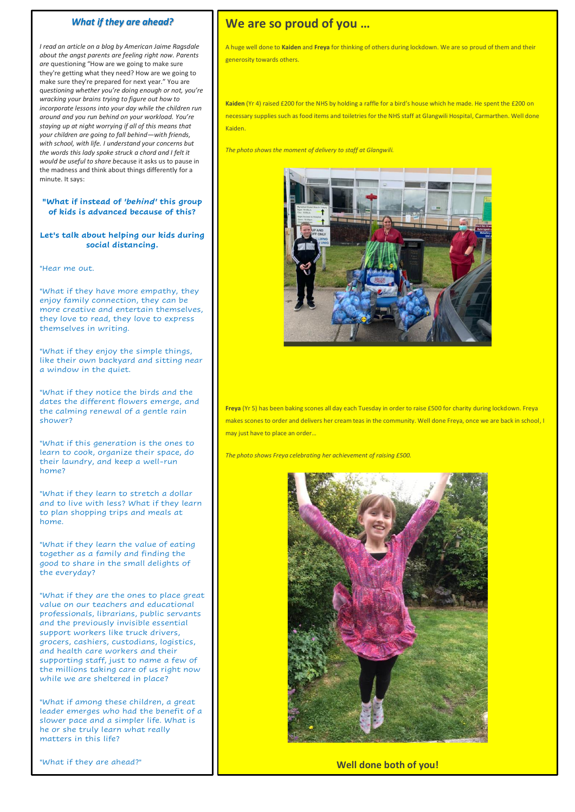#### *What if they are ahead?*

*I read an article on a blog by American Jaime Ragsdale about the angst parents are feeling right now. Parents are* questioning "How are we going to make sure they're getting what they need? How are we going to make sure they're prepared for next year." You are q*uestioning whether you're doing enough or not, you're wracking your brains trying to figure out how to incorporate lessons into your day while the children run around and you run behind on your workload. You're staying up at night worrying if all of this means that your children are going to fall behind—with friends, with school, with life. I understand your concerns but the words this lady spoke struck a chord and I felt it would be useful to share b*ecause it asks us to pause in the madness and think about things differently for a minute. It says:

#### **"What if instead of** *'behind'* **this group of kids is advanced because of this?**

#### **Let's talk about helping our kids during social distancing.**

"Hear me out.

"What if they have more empathy, they enjoy family connection, they can be more creative and entertain themselves, they love to read, they love to express themselves in writing.

"What if they enjoy the simple things, like their own backyard and sitting near a window in the quiet.

"What if they notice the birds and the dates the different flowers emerge, and the calming renewal of a gentle rain shower?

"What if this generation is the ones to learn to cook, organize their space, do their laundry, and keep a well-run home?

"What if they learn to stretch a dollar and to live with less? What if they learn to plan shopping trips and meals at home.

"What if they learn the value of eating together as a family and finding the good to share in the small delights of the everyday?

"What if they are the ones to place great value on our teachers and educational professionals, librarians, public servants and the previously invisible essential support workers like truck drivers, grocers, cashiers, custodians, logistics, and health care workers and their supporting staff, just to name a few of the millions taking care of us right now while we are sheltered in place?

"What if among these children, a great leader emerges who had the benefit of a slower pace and a simpler life. What is he or she truly learn what really matters in this life?

"What if they are ahead?"

## **We are so proud of you …**

A huge well done to **Kaiden** and **Freya** for thinking of others during lockdown. We are so proud of them and their generosity towards others.

**Kaiden** (Yr 4) raised £200 for the NHS by holding a raffle for a bird's house which he made. He spent the £200 on necessary supplies such as food items and toiletries for the NHS staff at Glangwili Hospital, Carmarthen. Well done Kaiden.

*The photo shows the moment of delivery to staff at Glangwili.*



**Freya** (Yr 5) has been baking scones all day each Tuesday in order to raise £500 for charity during lockdown. Freya makes scones to order and delivers her cream teas in the community. Well done Freya, once we are back in school, I may just have to place an order…

*The photo shows Freya celebrating her achievement of raising £500.*



**Well done both of you!**